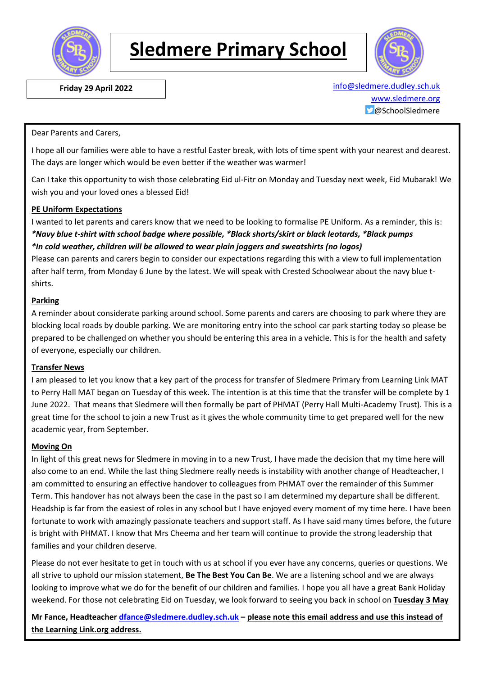

# **Sledmere Primary School**



 **Friday 29 April 2022** [info@sledmere.dudley.sch.uk](mailto:info@sledmere.dudley.sch.uk) [www.sledmere.org](http://www.sledmere.org/) @SchoolSledmere

Dear Parents and Carers,

I hope all our families were able to have a restful Easter break, with lots of time spent with your nearest and dearest. The days are longer which would be even better if the weather was warmer!

Can I take this opportunity to wish those celebrating Eid ul-Fitr on Monday and Tuesday next week, Eid Mubarak! We wish you and your loved ones a blessed Eid!

#### **PE Uniform Expectations**

I wanted to let parents and carers know that we need to be looking to formalise PE Uniform. As a reminder, this is: *\*Navy blue t-shirt with school badge where possible, \*Black shorts/skirt or black leotards, \*Black pumps \*In cold weather, children will be allowed to wear plain joggers and sweatshirts (no logos)*

Please can parents and carers begin to consider our expectations regarding this with a view to full implementation after half term, from Monday 6 June by the latest. We will speak with Crested Schoolwear about the navy blue tshirts.

#### **Parking**

A reminder about considerate parking around school. Some parents and carers are choosing to park where they are blocking local roads by double parking. We are monitoring entry into the school car park starting today so please be prepared to be challenged on whether you should be entering this area in a vehicle. This is for the health and safety of everyone, especially our children.

#### **Transfer News**

I am pleased to let you know that a key part of the process for transfer of Sledmere Primary from Learning Link MAT to Perry Hall MAT began on Tuesday of this week. The intention is at this time that the transfer will be complete by 1 June 2022. That means that Sledmere will then formally be part of PHMAT (Perry Hall Multi-Academy Trust). This is a great time for the school to join a new Trust as it gives the whole community time to get prepared well for the new academic year, from September.

#### **Moving On**

In light of this great news for Sledmere in moving in to a new Trust, I have made the decision that my time here will also come to an end. While the last thing Sledmere really needs is instability with another change of Headteacher, I am committed to ensuring an effective handover to colleagues from PHMAT over the remainder of this Summer Term. This handover has not always been the case in the past so I am determined my departure shall be different. Headship is far from the easiest of roles in any school but I have enjoyed every moment of my time here. I have been fortunate to work with amazingly passionate teachers and support staff. As I have said many times before, the future is bright with PHMAT. I know that Mrs Cheema and her team will continue to provide the strong leadership that families and your children deserve.

Please do not ever hesitate to get in touch with us at school if you ever have any concerns, queries or questions. We all strive to uphold our mission statement, **Be The Best You Can Be**. We are a listening school and we are always looking to improve what we do for the benefit of our children and families. I hope you all have a great Bank Holiday weekend. For those not celebrating Eid on Tuesday, we look forward to seeing you back in school on **Tuesday 3 May**

**Mr Fance, Headteacher [dfance@sledmere.dudley.sch.uk](mailto:dfance@sledmere.dudley.sch.uk) – please note this email address and use this instead of the Learning Link.org address.**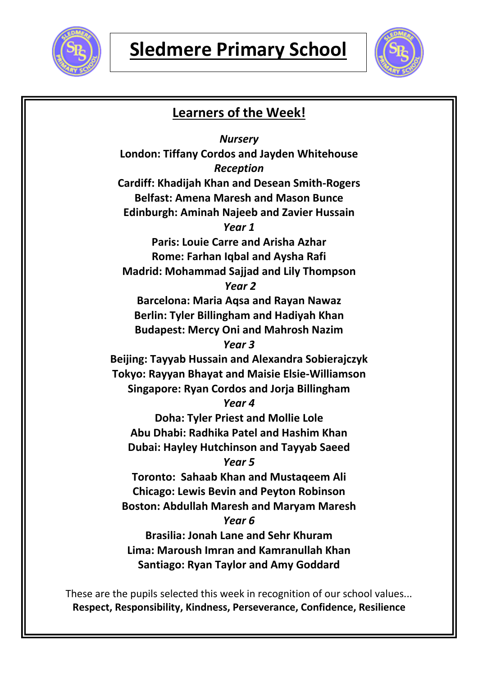



# **Learners of the Week!** *Nursery* **London: Tiffany Cordos and Jayden Whitehouse** *Reception* **Cardiff: Khadijah Khan and Desean Smith-Rogers Belfast: Amena Maresh and Mason Bunce Edinburgh: Aminah Najeeb and Zavier Hussain** *Year 1* **Paris: Louie Carre and Arisha Azhar Rome: Farhan Iqbal and Aysha Rafi Madrid: Mohammad Sajjad and Lily Thompson** *Year 2* **Barcelona: Maria Aqsa and Rayan Nawaz Berlin: Tyler Billingham and Hadiyah Khan Budapest: Mercy Oni and Mahrosh Nazim** *Year 3* **Beijing: Tayyab Hussain and Alexandra Sobierajczyk Tokyo: Rayyan Bhayat and Maisie Elsie-Williamson Singapore: Ryan Cordos and Jorja Billingham** *Year 4* **Doha: Tyler Priest and Mollie Lole Abu Dhabi: Radhika Patel and Hashim Khan Dubai: Hayley Hutchinson and Tayyab Saeed** *Year 5* **Toronto: Sahaab Khan and Mustaqeem Ali Chicago: Lewis Bevin and Peyton Robinson Boston: Abdullah Maresh and Maryam Maresh** *Year 6* **Brasilia: Jonah Lane and Sehr Khuram Lima: Maroush Imran and Kamranullah Khan Santiago: Ryan Taylor and Amy Goddard**

These are the pupils selected this week in recognition of our school values... **Respect, Responsibility, Kindness, Perseverance, Confidence, Resilience**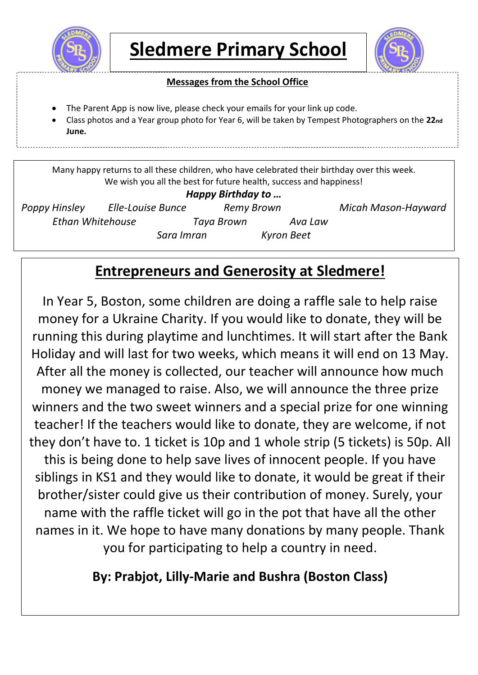



### **Messages from the School Office**

- The Parent App is now live, please check your emails for your link up code.
- Class photos and a Year group photo for Year 6, will be taken by Tempest Photographers on the **22nd June.**

Many happy returns to all these children, who have celebrated their birthday over this week. We wish you all the best for future health, success and happiness!

### *Happy Birthday to …*

*Poppy Hinsley Elle-Louise Bunce Remy Brown Micah Mason-Hayward Ethan Whitehouse Taya Brown Ava Law* 

*Sara Imran Kyron Beet*

# **Entrepreneurs and Generosity at Sledmere!**

In Year 5, Boston, some children are doing a raffle sale to help raise money for a Ukraine Charity. If you would like to donate, they will be running this during playtime and lunchtimes. It will start after the Bank Holiday and will last for two weeks, which means it will end on 13 May. After all the money is collected, our teacher will announce how much money we managed to raise. Also, we will announce the three prize winners and the two sweet winners and a special prize for one winning teacher! If the teachers would like to donate, they are welcome, if not they don't have to. 1 ticket is 10p and 1 whole strip (5 tickets) is 50p. All this is being done to help save lives of innocent people. If you have siblings in KS1 and they would like to donate, it would be great if their brother/sister could give us their contribution of money. Surely, your name with the raffle ticket will go in the pot that have all the other names in it. We hope to have many donations by many people. Thank you for participating to help a country in need.

# **By: Prabjot, Lilly-Marie and Bushra (Boston Class)**